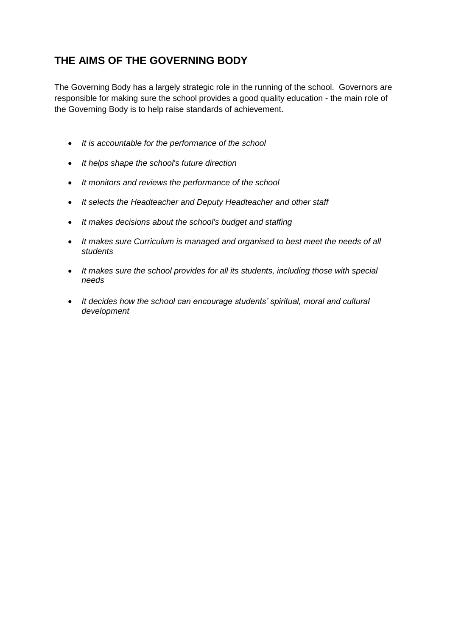# **THE AIMS OF THE GOVERNING BODY**

The Governing Body has a largely strategic role in the running of the school. Governors are responsible for making sure the school provides a good quality education - the main role of the Governing Body is to help raise standards of achievement.

- *It is accountable for the performance of the school*
- *It helps shape the school's future direction*
- *It monitors and reviews the performance of the school*
- *It selects the Headteacher and Deputy Headteacher and other staff*
- *It makes decisions about the school's budget and staffing*
- *It makes sure Curriculum is managed and organised to best meet the needs of all students*
- *It makes sure the school provides for all its students, including those with special needs*
- *It decides how the school can encourage students' spiritual, moral and cultural development*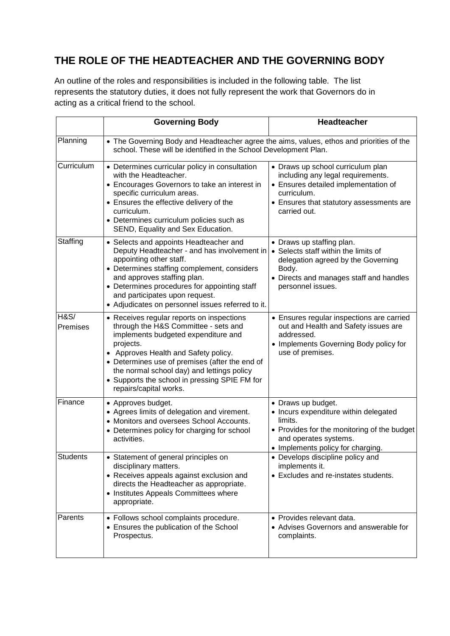# **THE ROLE OF THE HEADTEACHER AND THE GOVERNING BODY**

An outline of the roles and responsibilities is included in the following table. The list represents the statutory duties, it does not fully represent the work that Governors do in acting as a critical friend to the school.

|                  | <b>Governing Body</b>                                                                                                                                                                                                                                                                                                                                    | <b>Headteacher</b>                                                                                                                                                                        |
|------------------|----------------------------------------------------------------------------------------------------------------------------------------------------------------------------------------------------------------------------------------------------------------------------------------------------------------------------------------------------------|-------------------------------------------------------------------------------------------------------------------------------------------------------------------------------------------|
| Planning         | • The Governing Body and Headteacher agree the aims, values, ethos and priorities of the<br>school. These will be identified in the School Development Plan.                                                                                                                                                                                             |                                                                                                                                                                                           |
| Curriculum       | • Determines curricular policy in consultation<br>with the Headteacher.<br>• Encourages Governors to take an interest in<br>specific curriculum areas.<br>• Ensures the effective delivery of the<br>curriculum.<br>• Determines curriculum policies such as<br>SEND, Equality and Sex Education.                                                        | • Draws up school curriculum plan<br>including any legal requirements.<br>• Ensures detailed implementation of<br>curriculum.<br>• Ensures that statutory assessments are<br>carried out. |
| Staffing         | • Selects and appoints Headteacher and<br>Deputy Headteacher - and has involvement in<br>appointing other staff.<br>• Determines staffing complement, considers<br>and approves staffing plan.<br>• Determines procedures for appointing staff<br>and participates upon request.<br>• Adjudicates on personnel issues referred to it.                    | • Draws up staffing plan.<br>• Selects staff within the limits of<br>delegation agreed by the Governing<br>Body.<br>• Directs and manages staff and handles<br>personnel issues.          |
| H&S/<br>Premises | • Receives regular reports on inspections<br>through the H&S Committee - sets and<br>implements budgeted expenditure and<br>projects.<br>• Approves Health and Safety policy.<br>• Determines use of premises (after the end of<br>the normal school day) and lettings policy<br>• Supports the school in pressing SPIE FM for<br>repairs/capital works. | • Ensures regular inspections are carried<br>out and Health and Safety issues are<br>addressed.<br>• Implements Governing Body policy for<br>use of premises.                             |
| Finance          | • Approves budget.<br>• Agrees limits of delegation and virement.<br>• Monitors and oversees School Accounts.<br>• Determines policy for charging for school<br>activities.                                                                                                                                                                              | • Draws up budget.<br>• Incurs expenditure within delegated<br>limits.<br>• Provides for the monitoring of the budget<br>and operates systems.<br>• Implements policy for charging.       |
| Students         | • Statement of general principles on<br>disciplinary matters.<br>• Receives appeals against exclusion and<br>directs the Headteacher as appropriate.<br>• Institutes Appeals Committees where<br>appropriate.                                                                                                                                            | • Develops discipline policy and<br>implements it.<br>• Excludes and re-instates students.                                                                                                |
| Parents          | • Follows school complaints procedure.<br>• Ensures the publication of the School<br>Prospectus.                                                                                                                                                                                                                                                         | • Provides relevant data.<br>• Advises Governors and answerable for<br>complaints.                                                                                                        |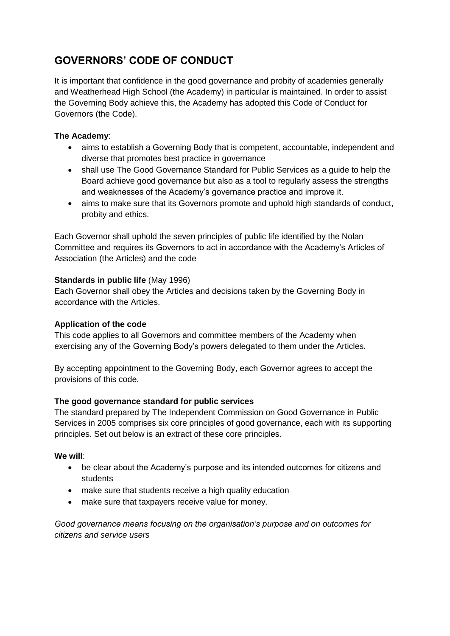# **GOVERNORS' CODE OF CONDUCT**

It is important that confidence in the good governance and probity of academies generally and Weatherhead High School (the Academy) in particular is maintained. In order to assist the Governing Body achieve this, the Academy has adopted this Code of Conduct for Governors (the Code).

## **The Academy**:

- aims to establish a Governing Body that is competent, accountable, independent and diverse that promotes best practice in governance
- shall use The Good Governance Standard for Public Services as a guide to help the Board achieve good governance but also as a tool to regularly assess the strengths and weaknesses of the Academy's governance practice and improve it.
- aims to make sure that its Governors promote and uphold high standards of conduct, probity and ethics.

Each Governor shall uphold the seven principles of public life identified by the Nolan Committee and requires its Governors to act in accordance with the Academy's Articles of Association (the Articles) and the code

# **Standards in public life** (May 1996)

Each Governor shall obey the Articles and decisions taken by the Governing Body in accordance with the Articles.

## **Application of the code**

This code applies to all Governors and committee members of the Academy when exercising any of the Governing Body's powers delegated to them under the Articles.

By accepting appointment to the Governing Body, each Governor agrees to accept the provisions of this code.

## **The good governance standard for public services**

The standard prepared by The Independent Commission on Good Governance in Public Services in 2005 comprises six core principles of good governance, each with its supporting principles. Set out below is an extract of these core principles.

## **We will**:

- be clear about the Academy's purpose and its intended outcomes for citizens and students
- make sure that students receive a high quality education
- make sure that taxpayers receive value for money.

*Good governance means focusing on the organisation's purpose and on outcomes for citizens and service users*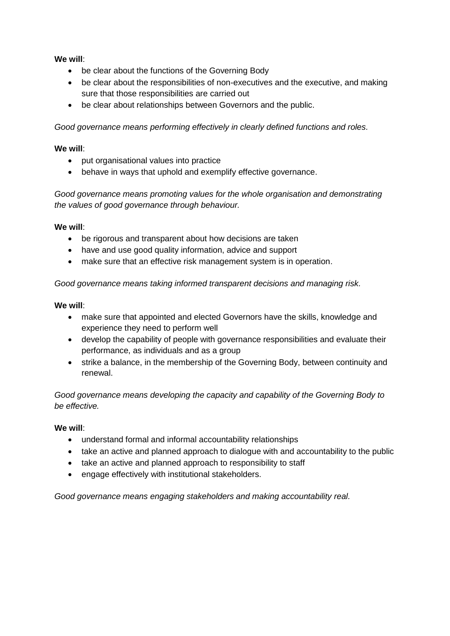### **We will**:

- be clear about the functions of the Governing Body
- be clear about the responsibilities of non-executives and the executive, and making sure that those responsibilities are carried out
- be clear about relationships between Governors and the public.

*Good governance means performing effectively in clearly defined functions and roles.*

### **We will**:

- put organisational values into practice
- behave in ways that uphold and exemplify effective governance.

*Good governance means promoting values for the whole organisation and demonstrating the values of good governance through behaviour.*

#### **We will**:

- be rigorous and transparent about how decisions are taken
- have and use good quality information, advice and support
- make sure that an effective risk management system is in operation.

*Good governance means taking informed transparent decisions and managing risk.*

#### **We will**:

- make sure that appointed and elected Governors have the skills, knowledge and experience they need to perform well
- develop the capability of people with governance responsibilities and evaluate their performance, as individuals and as a group
- strike a balance, in the membership of the Governing Body, between continuity and renewal.

*Good governance means developing the capacity and capability of the Governing Body to be effective.*

#### **We will**:

- understand formal and informal accountability relationships
- take an active and planned approach to dialogue with and accountability to the public
- take an active and planned approach to responsibility to staff
- engage effectively with institutional stakeholders.

*Good governance means engaging stakeholders and making accountability real.*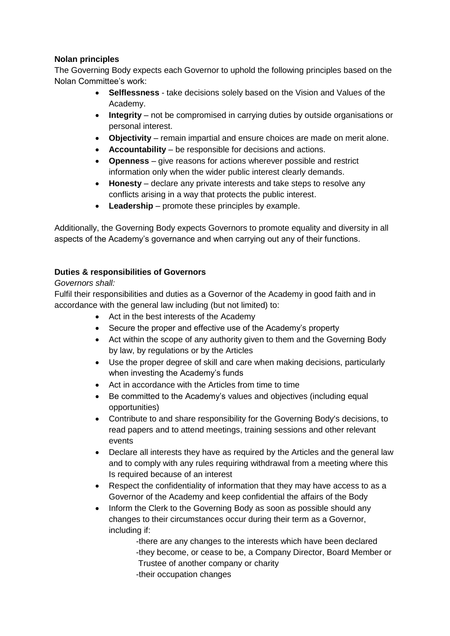# **Nolan principles**

The Governing Body expects each Governor to uphold the following principles based on the Nolan Committee's work:

- **Selflessness** take decisions solely based on the Vision and Values of the Academy.
- **Integrity** not be compromised in carrying duties by outside organisations or personal interest.
- **Objectivity** remain impartial and ensure choices are made on merit alone.
- **Accountability** be responsible for decisions and actions.
- **Openness** give reasons for actions wherever possible and restrict information only when the wider public interest clearly demands.
- **Honesty** declare any private interests and take steps to resolve any conflicts arising in a way that protects the public interest.
- **Leadership** promote these principles by example.

Additionally, the Governing Body expects Governors to promote equality and diversity in all aspects of the Academy's governance and when carrying out any of their functions.

# **Duties & responsibilities of Governors**

## *Governors shall:*

Fulfil their responsibilities and duties as a Governor of the Academy in good faith and in accordance with the general law including (but not limited) to:

- Act in the best interests of the Academy
- Secure the proper and effective use of the Academy's property
- Act within the scope of any authority given to them and the Governing Body by law, by regulations or by the Articles
- Use the proper degree of skill and care when making decisions, particularly when investing the Academy's funds
- Act in accordance with the Articles from time to time
- Be committed to the Academy's values and objectives (including equal opportunities)
- Contribute to and share responsibility for the Governing Body's decisions, to read papers and to attend meetings, training sessions and other relevant events
- Declare all interests they have as required by the Articles and the general law and to comply with any rules requiring withdrawal from a meeting where this Is required because of an interest
- Respect the confidentiality of information that they may have access to as a Governor of the Academy and keep confidential the affairs of the Body
- Inform the Clerk to the Governing Body as soon as possible should any changes to their circumstances occur during their term as a Governor, including if:

-there are any changes to the interests which have been declared -they become, or cease to be, a Company Director, Board Member or Trustee of another company or charity

-their occupation changes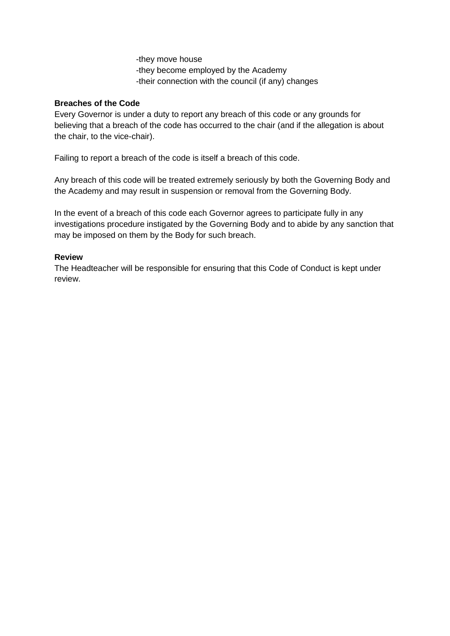-they move house -they become employed by the Academy -their connection with the council (if any) changes

### **Breaches of the Code**

Every Governor is under a duty to report any breach of this code or any grounds for believing that a breach of the code has occurred to the chair (and if the allegation is about the chair, to the vice-chair).

Failing to report a breach of the code is itself a breach of this code.

Any breach of this code will be treated extremely seriously by both the Governing Body and the Academy and may result in suspension or removal from the Governing Body.

In the event of a breach of this code each Governor agrees to participate fully in any investigations procedure instigated by the Governing Body and to abide by any sanction that may be imposed on them by the Body for such breach.

### **Review**

The Headteacher will be responsible for ensuring that this Code of Conduct is kept under review.